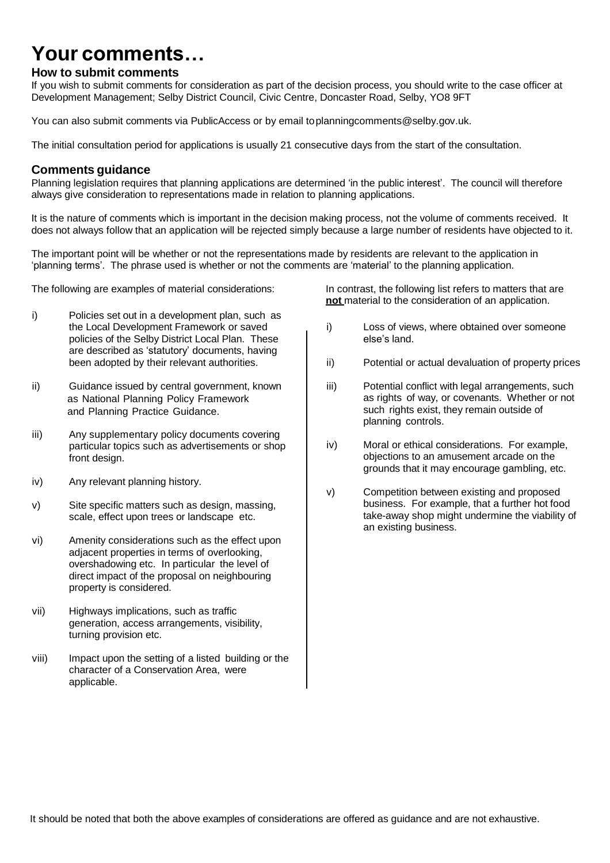# **Your comments…**

## **How to submit comments**

If you wish to submit comments for consideration as part of the decision process, you should write to the case officer at Development Management; Selby District Council, Civic Centre, Doncaster Road, Selby, YO8 9FT

You can also submit comments via PublicAccess or by email toplanningcomments@selby.gov.uk.

The initial consultation period for applications is usually 21 consecutive days from the start of the consultation.

# **Comments guidance**

Planning legislation requires that planning applications are determined 'in the public interest'. The council will therefore always give consideration to representations made in relation to planning applications.

It is the nature of comments which is important in the decision making process, not the volume of comments received. It does not always follow that an application will be rejected simply because a large number of residents have objected to it.

The important point will be whether or not the representations made by residents are relevant to the application in 'planning terms'. The phrase used is whether or not the comments are 'material' to the planning application.

- i) Policies set out in a development plan, such as the Local Development Framework or saved policies of the Selby District Local Plan. These are described as 'statutory' documents, having been adopted by their relevant authorities.
- ii) Guidance issued by central government, known as National Planning Policy Framework and Planning Practice Guidance.
- [iii\) Any supplementary policy documents covering](http://www.selby.gov.uk/) particular topics such as advertisements or shop [front design](http://www.selby.gov.uk/).
- iv) Any relevant planning history.
- v) Site specific matters such as design, massing, scale, effect upon trees or landscape etc.
- vi) Amenity considerations such as the effect upon adjacent properties in terms of overlooking, overshadowing etc. In particular the level of direct impact of the proposal on neighbouring property is considered.
- [vii\) Highways implications, suc](mailto:democraticservices@selby.gov.uk)h as traffic generation, access arrangements, visibility, turning provision etc.
- viii) Impact upon the setting of a listed building or the character of a Conservation Area, were applicable.

The following are examples of material considerations: In contrast, the following list refers to matters that are **not** material to the consideration of an application.

- i) Loss of views, where obtained over someone else's land.
- ii) Potential or actual devaluation of property prices
- iii) Potential conflict with legal arrangements, such as rights of way, or covenants. Whether or not such rights exist, they remain outside of [planning controls.](http://www.selby.gov.uk/)
- iv) Moral or ethical considerations. For example, objections to an amusement arcade on the grounds that it may encourage gambling, etc.
- v) Competition between existing and proposed business. For example, that a further hot food take-away shop might undermine the viability of an existing business.